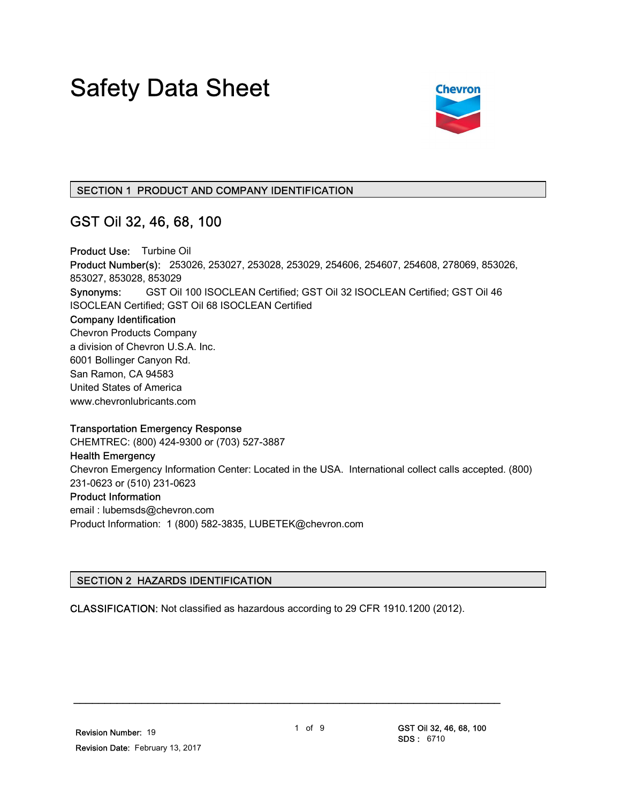# Safety Data Sheet



#### SECTION 1 PRODUCT AND COMPANY IDENTIFICATION

### GST Oil 32, 46, 68, 100

Product Use: Turbine Oil Product Number(s): 253026, 253027, 253028, 253029, 254606, 254607, 254608, 278069, 853026, 853027, 853028, 853029 Synonyms: GST Oil 100 ISOCLEAN Certified; GST Oil 32 ISOCLEAN Certified; GST Oil 46 ISOCLEAN Certified; GST Oil 68 ISOCLEAN Certified Company Identification Chevron Products Company a division of Chevron U.S.A. Inc. 6001 Bollinger Canyon Rd. San Ramon, CA 94583 United States of America www.chevronlubricants.com Transportation Emergency Response

CHEMTREC: (800) 424-9300 or (703) 527-3887

## Health Emergency

Chevron Emergency Information Center: Located in the USA. International collect calls accepted. (800) 231-0623 or (510) 231-0623 Product Information email : lubemsds@chevron.com

Product Information: 1 (800) 582-3835, LUBETEK@chevron.com

#### SECTION 2 HAZARDS IDENTIFICATION

CLASSIFICATION: Not classified as hazardous according to 29 CFR 1910.1200 (2012).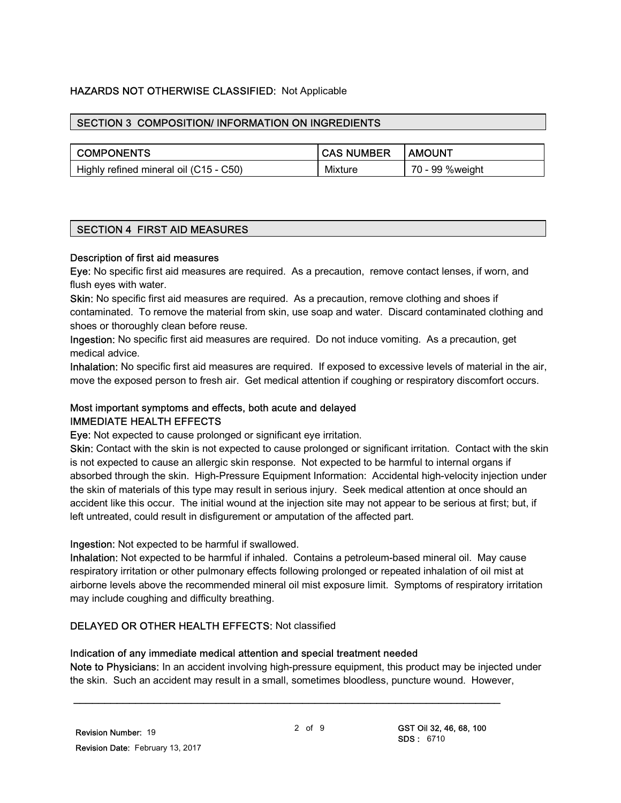#### HAZARDS NOT OTHERWISE CLASSIFIED: Not Applicable

#### SECTION 3 COMPOSITION/ INFORMATION ON INGREDIENTS

| <b>COMPONENTS</b>                      | <b>CAS NUMBER</b> | I AMOUNT        |
|----------------------------------------|-------------------|-----------------|
| Highly refined mineral oil (C15 - C50) | Mixture           | 70 - 99 %weight |

#### SECTION 4 FIRST AID MEASURES

#### Description of first aid measures

Eye: No specific first aid measures are required. As a precaution, remove contact lenses, if worn, and flush eyes with water.

Skin: No specific first aid measures are required. As a precaution, remove clothing and shoes if contaminated. To remove the material from skin, use soap and water. Discard contaminated clothing and shoes or thoroughly clean before reuse.

Ingestion: No specific first aid measures are required. Do not induce vomiting. As a precaution, get medical advice.

Inhalation: No specific first aid measures are required. If exposed to excessive levels of material in the air, move the exposed person to fresh air. Get medical attention if coughing or respiratory discomfort occurs.

#### Most important symptoms and effects, both acute and delayed IMMEDIATE HEALTH EFFECTS

Eye: Not expected to cause prolonged or significant eye irritation.

Skin: Contact with the skin is not expected to cause prolonged or significant irritation. Contact with the skin is not expected to cause an allergic skin response. Not expected to be harmful to internal organs if absorbed through the skin. High-Pressure Equipment Information: Accidental high-velocity injection under the skin of materials of this type may result in serious injury. Seek medical attention at once should an accident like this occur. The initial wound at the injection site may not appear to be serious at first; but, if left untreated, could result in disfigurement or amputation of the affected part.

#### Ingestion: Not expected to be harmful if swallowed.

Inhalation: Not expected to be harmful if inhaled. Contains a petroleum-based mineral oil. May cause respiratory irritation or other pulmonary effects following prolonged or repeated inhalation of oil mist at airborne levels above the recommended mineral oil mist exposure limit. Symptoms of respiratory irritation may include coughing and difficulty breathing.

#### DELAYED OR OTHER HEALTH EFFECTS: Not classified

#### Indication of any immediate medical attention and special treatment needed

Note to Physicians: In an accident involving high-pressure equipment, this product may be injected under the skin. Such an accident may result in a small, sometimes bloodless, puncture wound. However,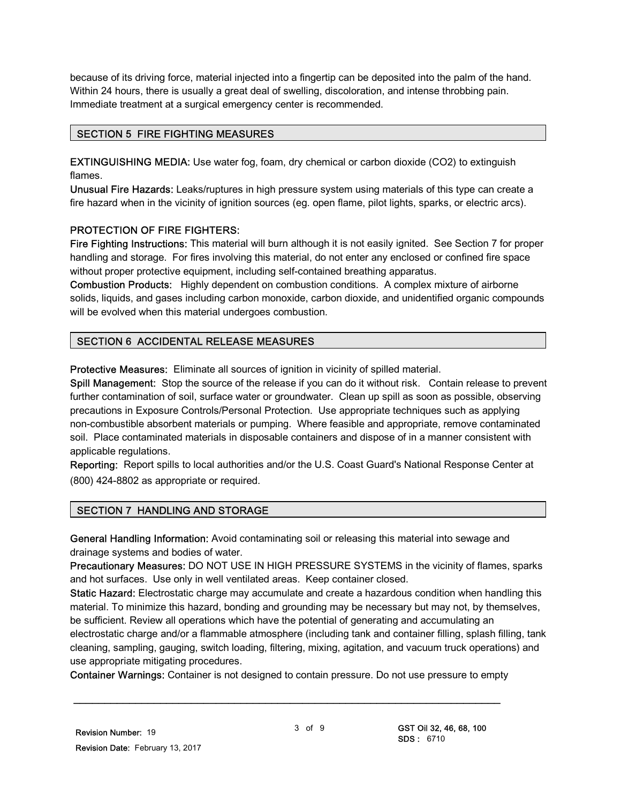because of its driving force, material injected into a fingertip can be deposited into the palm of the hand. Within 24 hours, there is usually a great deal of swelling, discoloration, and intense throbbing pain. Immediate treatment at a surgical emergency center is recommended.

#### SECTION 5 FIRE FIGHTING MEASURES

EXTINGUISHING MEDIA: Use water fog, foam, dry chemical or carbon dioxide (CO2) to extinguish flames.

Unusual Fire Hazards: Leaks/ruptures in high pressure system using materials of this type can create a fire hazard when in the vicinity of ignition sources (eg. open flame, pilot lights, sparks, or electric arcs).

#### PROTECTION OF FIRE FIGHTERS:

Fire Fighting Instructions: This material will burn although it is not easily ignited. See Section 7 for proper handling and storage. For fires involving this material, do not enter any enclosed or confined fire space without proper protective equipment, including self-contained breathing apparatus.

Combustion Products: Highly dependent on combustion conditions. A complex mixture of airborne solids, liquids, and gases including carbon monoxide, carbon dioxide, and unidentified organic compounds will be evolved when this material undergoes combustion.

#### SECTION 6 ACCIDENTAL RELEASE MEASURES

Protective Measures: Eliminate all sources of ignition in vicinity of spilled material.

Spill Management: Stop the source of the release if you can do it without risk. Contain release to prevent further contamination of soil, surface water or groundwater. Clean up spill as soon as possible, observing precautions in Exposure Controls/Personal Protection. Use appropriate techniques such as applying non-combustible absorbent materials or pumping. Where feasible and appropriate, remove contaminated soil. Place contaminated materials in disposable containers and dispose of in a manner consistent with applicable regulations.

Reporting: Report spills to local authorities and/or the U.S. Coast Guard's National Response Center at (800) 424-8802 as appropriate or required.

#### SECTION 7 HANDLING AND STORAGE

General Handling Information: Avoid contaminating soil or releasing this material into sewage and drainage systems and bodies of water.

Precautionary Measures: DO NOT USE IN HIGH PRESSURE SYSTEMS in the vicinity of flames, sparks and hot surfaces. Use only in well ventilated areas. Keep container closed.

Static Hazard: Electrostatic charge may accumulate and create a hazardous condition when handling this material. To minimize this hazard, bonding and grounding may be necessary but may not, by themselves, be sufficient. Review all operations which have the potential of generating and accumulating an electrostatic charge and/or a flammable atmosphere (including tank and container filling, splash filling, tank cleaning, sampling, gauging, switch loading, filtering, mixing, agitation, and vacuum truck operations) and use appropriate mitigating procedures.

Container Warnings: Container is not designed to contain pressure. Do not use pressure to empty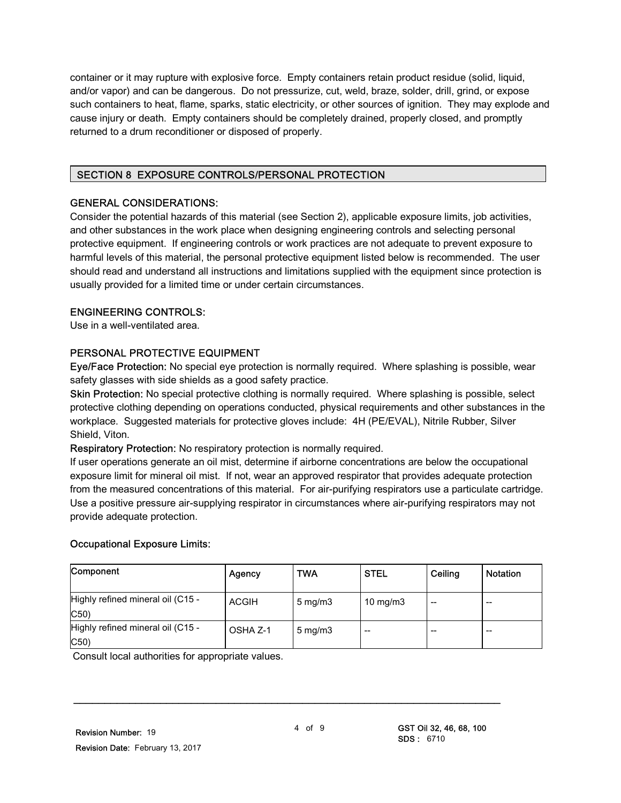container or it may rupture with explosive force. Empty containers retain product residue (solid, liquid, and/or vapor) and can be dangerous. Do not pressurize, cut, weld, braze, solder, drill, grind, or expose such containers to heat, flame, sparks, static electricity, or other sources of ignition. They may explode and cause injury or death. Empty containers should be completely drained, properly closed, and promptly returned to a drum reconditioner or disposed of properly.

#### SECTION 8 EXPOSURE CONTROLS/PERSONAL PROTECTION

#### GENERAL CONSIDERATIONS:

Consider the potential hazards of this material (see Section 2), applicable exposure limits, job activities, and other substances in the work place when designing engineering controls and selecting personal protective equipment. If engineering controls or work practices are not adequate to prevent exposure to harmful levels of this material, the personal protective equipment listed below is recommended. The user should read and understand all instructions and limitations supplied with the equipment since protection is usually provided for a limited time or under certain circumstances.

#### ENGINEERING CONTROLS:

Use in a well-ventilated area.

#### PERSONAL PROTECTIVE EQUIPMENT

Eye/Face Protection: No special eye protection is normally required. Where splashing is possible, wear safety glasses with side shields as a good safety practice.

Skin Protection: No special protective clothing is normally required. Where splashing is possible, select protective clothing depending on operations conducted, physical requirements and other substances in the workplace. Suggested materials for protective gloves include: 4H (PE/EVAL), Nitrile Rubber, Silver Shield, Viton.

Respiratory Protection: No respiratory protection is normally required.

If user operations generate an oil mist, determine if airborne concentrations are below the occupational exposure limit for mineral oil mist. If not, wear an approved respirator that provides adequate protection from the measured concentrations of this material. For air-purifying respirators use a particulate cartridge. Use a positive pressure air-supplying respirator in circumstances where air-purifying respirators may not provide adequate protection.

#### Occupational Exposure Limits:

| Component                                | Agency       | <b>TWA</b>          | <b>STEL</b> | Ceiling | <b>Notation</b> |
|------------------------------------------|--------------|---------------------|-------------|---------|-----------------|
| Highly refined mineral oil (C15 -<br>C50 | <b>ACGIH</b> | $5 \text{ mg/m}$    | 10 mg/m $3$ | --      | --              |
| Highly refined mineral oil (C15 -<br>C50 | OSHA Z-1     | $5 \,\mathrm{mg/m}$ | --          |         | --              |

Consult local authorities for appropriate values.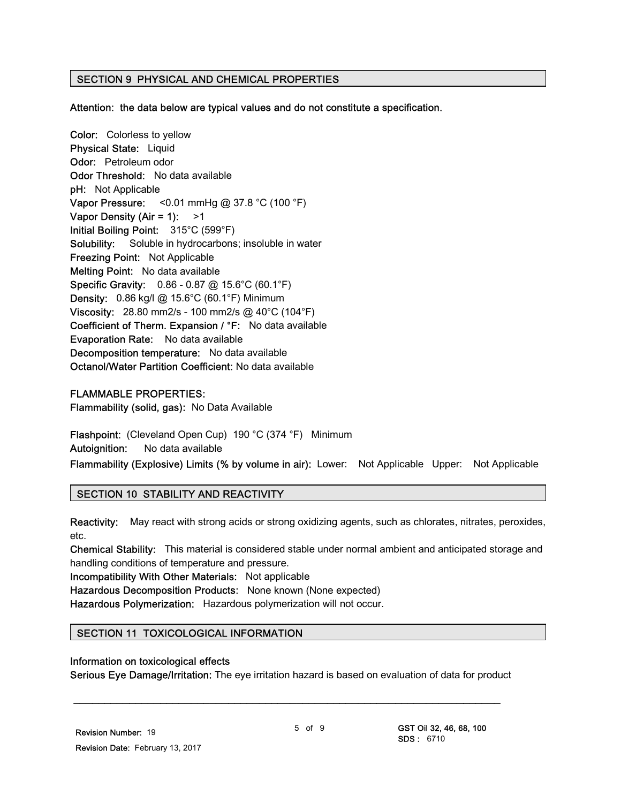#### SECTION 9 PHYSICAL AND CHEMICAL PROPERTIES

Attention: the data below are typical values and do not constitute a specification.

Color: Colorless to yellow Physical State: Liquid Odor: Petroleum odor Odor Threshold: No data available pH: Not Applicable Vapor Pressure: < $0.01$  mmHg @ 37.8 °C (100 °F) Vapor Density (Air = 1):  $>1$ Initial Boiling Point: 315°C (599°F) Solubility: Soluble in hydrocarbons; insoluble in water Freezing Point: Not Applicable Melting Point: No data available Specific Gravity: 0.86 - 0.87 @ 15.6°C (60.1°F) **Density:** 0.86 kg/l @ 15.6°C (60.1°F) Minimum Viscosity: 28.80 mm2/s - 100 mm2/s @ 40°C (104°F) Coefficient of Therm. Expansion / °F: No data available Evaporation Rate: No data available Decomposition temperature: No data available Octanol/Water Partition Coefficient: No data available

#### FLAMMABLE PROPERTIES:

Flammability (solid, gas): No Data Available

Flashpoint: (Cleveland Open Cup) 190 °C (374 °F) Minimum Autoignition: No data available

Flammability (Explosive) Limits (% by volume in air): Lower: Not Applicable Upper: Not Applicable

#### SECTION 10 STABILITY AND REACTIVITY

Reactivity: May react with strong acids or strong oxidizing agents, such as chlorates, nitrates, peroxides, etc.

Chemical Stability: This material is considered stable under normal ambient and anticipated storage and handling conditions of temperature and pressure.

Incompatibility With Other Materials: Not applicable

Hazardous Decomposition Products: None known (None expected)

Hazardous Polymerization: Hazardous polymerization will not occur.

#### SECTION 11 TOXICOLOGICAL INFORMATION

#### Information on toxicological effects

Serious Eye Damage/Irritation: The eye irritation hazard is based on evaluation of data for product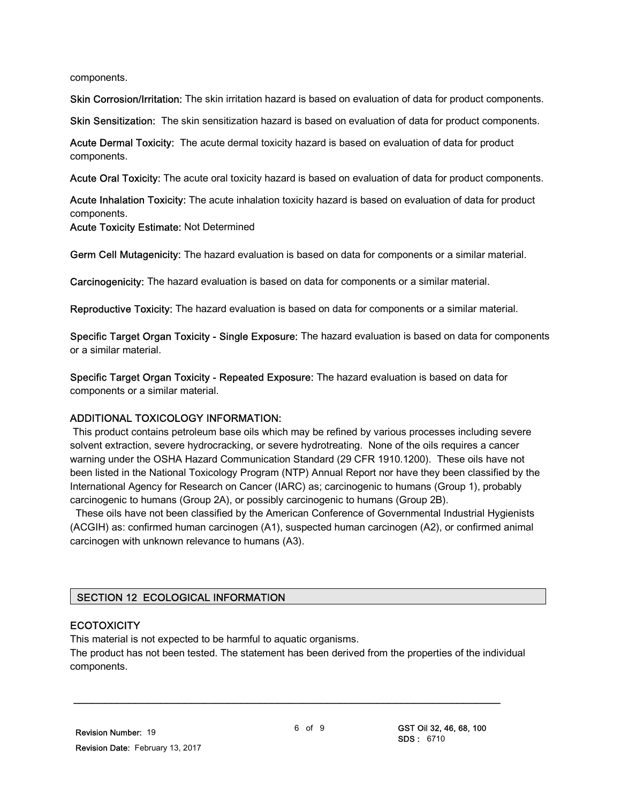components.

Skin Corrosion/Irritation: The skin irritation hazard is based on evaluation of data for product components.

Skin Sensitization: The skin sensitization hazard is based on evaluation of data for product components.

Acute Dermal Toxicity: The acute dermal toxicity hazard is based on evaluation of data for product components.

Acute Oral Toxicity: The acute oral toxicity hazard is based on evaluation of data for product components.

Acute Inhalation Toxicity: The acute inhalation toxicity hazard is based on evaluation of data for product components. Acute Toxicity Estimate: Not Determined

Germ Cell Mutagenicity: The hazard evaluation is based on data for components or a similar material.

Carcinogenicity: The hazard evaluation is based on data for components or a similar material.

Reproductive Toxicity: The hazard evaluation is based on data for components or a similar material.

Specific Target Organ Toxicity - Single Exposure: The hazard evaluation is based on data for components or a similar material.

Specific Target Organ Toxicity - Repeated Exposure: The hazard evaluation is based on data for components or a similar material.

#### ADDITIONAL TOXICOLOGY INFORMATION:

 This product contains petroleum base oils which may be refined by various processes including severe solvent extraction, severe hydrocracking, or severe hydrotreating. None of the oils requires a cancer warning under the OSHA Hazard Communication Standard (29 CFR 1910.1200). These oils have not been listed in the National Toxicology Program (NTP) Annual Report nor have they been classified by the International Agency for Research on Cancer (IARC) as; carcinogenic to humans (Group 1), probably carcinogenic to humans (Group 2A), or possibly carcinogenic to humans (Group 2B).

 These oils have not been classified by the American Conference of Governmental Industrial Hygienists (ACGIH) as: confirmed human carcinogen (A1), suspected human carcinogen (A2), or confirmed animal carcinogen with unknown relevance to humans (A3).

#### SECTION 12 ECOLOGICAL INFORMATION

#### **ECOTOXICITY**

This material is not expected to be harmful to aquatic organisms.

The product has not been tested. The statement has been derived from the properties of the individual components.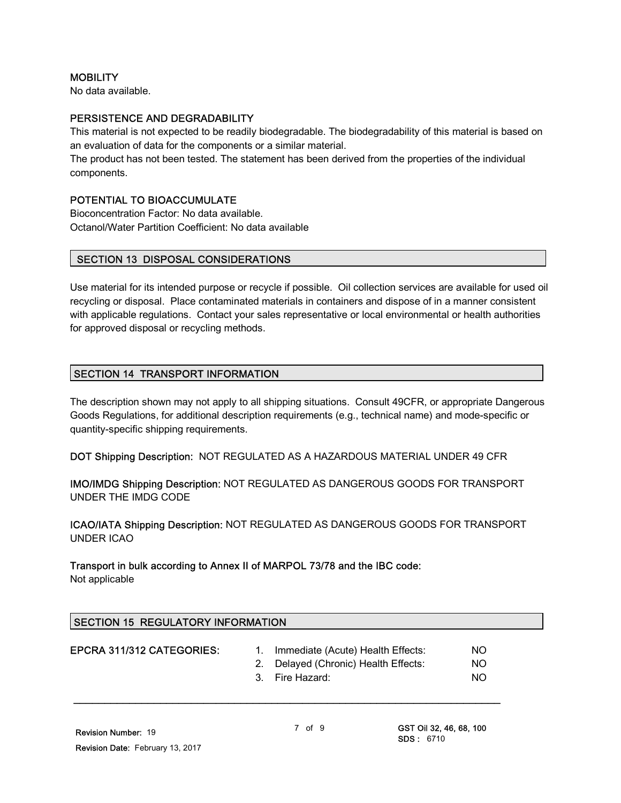#### **MOBILITY**

No data available.

#### PERSISTENCE AND DEGRADABILITY

This material is not expected to be readily biodegradable. The biodegradability of this material is based on an evaluation of data for the components or a similar material.

The product has not been tested. The statement has been derived from the properties of the individual components.

#### POTENTIAL TO BIOACCUMULATE

Bioconcentration Factor: No data available. Octanol/Water Partition Coefficient: No data available

#### SECTION 13 DISPOSAL CONSIDERATIONS

Use material for its intended purpose or recycle if possible. Oil collection services are available for used oil recycling or disposal. Place contaminated materials in containers and dispose of in a manner consistent with applicable regulations. Contact your sales representative or local environmental or health authorities for approved disposal or recycling methods.

#### SECTION 14 TRANSPORT INFORMATION

The description shown may not apply to all shipping situations. Consult 49CFR, or appropriate Dangerous Goods Regulations, for additional description requirements (e.g., technical name) and mode-specific or quantity-specific shipping requirements.

DOT Shipping Description: NOT REGULATED AS A HAZARDOUS MATERIAL UNDER 49 CFR

IMO/IMDG Shipping Description: NOT REGULATED AS DANGEROUS GOODS FOR TRANSPORT UNDER THE IMDG CODE

ICAO/IATA Shipping Description: NOT REGULATED AS DANGEROUS GOODS FOR TRANSPORT UNDER ICAO

#### Transport in bulk according to Annex II of MARPOL 73/78 and the IBC code: Not applicable

| <b>SECTION 15 REGULATORY INFORMATION</b> |  |                                                                                              |                   |  |
|------------------------------------------|--|----------------------------------------------------------------------------------------------|-------------------|--|
| EPCRA 311/312 CATEGORIES:                |  | Immediate (Acute) Health Effects:<br>2. Delayed (Chronic) Health Effects:<br>3. Fire Hazard: | NO.<br>NO.<br>NO. |  |
|                                          |  |                                                                                              |                   |  |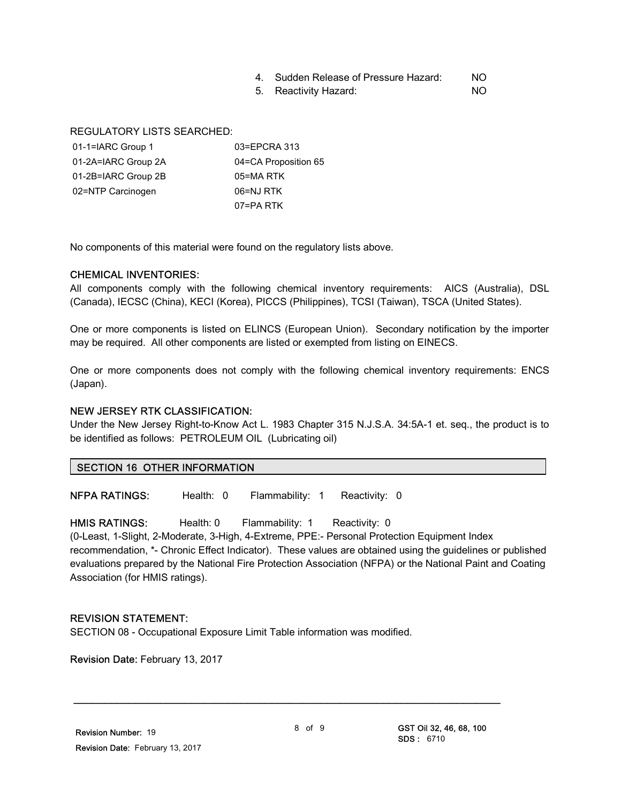#### 4. Sudden Release of Pressure Hazard: NO

5. Reactivity Hazard: NO

REGULATORY LISTS SEARCHED:

| 01-1=IARC Group 1   | 03=EPCRA 313         |
|---------------------|----------------------|
| 01-2A=IARC Group 2A | 04=CA Proposition 65 |
| 01-2B=IARC Group 2B | 05=MA RTK            |
| 02=NTP Carcinogen   | 06=NJ RTK            |
|                     | 07=PA RTK            |

No components of this material were found on the regulatory lists above.

#### CHEMICAL INVENTORIES:

All components comply with the following chemical inventory requirements: AICS (Australia), DSL (Canada), IECSC (China), KECI (Korea), PICCS (Philippines), TCSI (Taiwan), TSCA (United States).

One or more components is listed on ELINCS (European Union). Secondary notification by the importer may be required. All other components are listed or exempted from listing on EINECS.

One or more components does not comply with the following chemical inventory requirements: ENCS (Japan).

#### NEW JERSEY RTK CLASSIFICATION:

Under the New Jersey Right-to-Know Act L. 1983 Chapter 315 N.J.S.A. 34:5A-1 et. seq., the product is to be identified as follows: PETROLEUM OIL (Lubricating oil)

#### SECTION 16 OTHER INFORMATION

NFPA RATINGS: Health: 0 Flammability: 1 Reactivity: 0

HMIS RATINGS: Health: 0 Flammability: 1 Reactivity: 0 (0-Least, 1-Slight, 2-Moderate, 3-High, 4-Extreme, PPE:- Personal Protection Equipment Index recommendation, \*- Chronic Effect Indicator). These values are obtained using the guidelines or published evaluations prepared by the National Fire Protection Association (NFPA) or the National Paint and Coating Association (for HMIS ratings).

#### REVISION STATEMENT:

SECTION 08 - Occupational Exposure Limit Table information was modified.

Revision Date: February 13, 2017